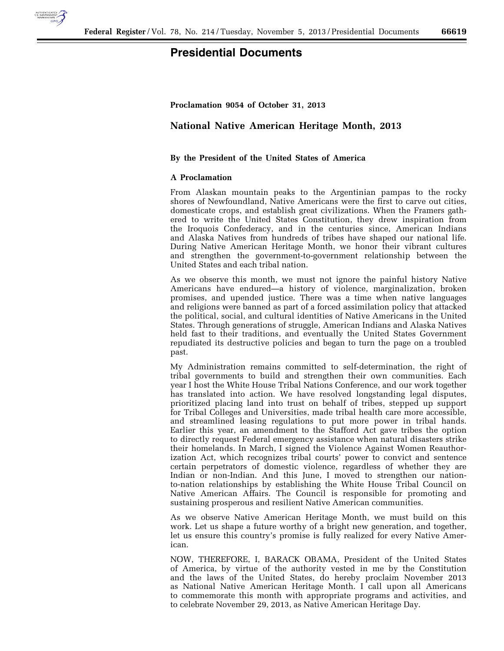

## **Presidential Documents**

**Proclamation 9054 of October 31, 2013** 

## **National Native American Heritage Month, 2013**

## **By the President of the United States of America**

## **A Proclamation**

From Alaskan mountain peaks to the Argentinian pampas to the rocky shores of Newfoundland, Native Americans were the first to carve out cities, domesticate crops, and establish great civilizations. When the Framers gathered to write the United States Constitution, they drew inspiration from the Iroquois Confederacy, and in the centuries since, American Indians and Alaska Natives from hundreds of tribes have shaped our national life. During Native American Heritage Month, we honor their vibrant cultures and strengthen the government-to-government relationship between the United States and each tribal nation.

As we observe this month, we must not ignore the painful history Native Americans have endured—a history of violence, marginalization, broken promises, and upended justice. There was a time when native languages and religions were banned as part of a forced assimilation policy that attacked the political, social, and cultural identities of Native Americans in the United States. Through generations of struggle, American Indians and Alaska Natives held fast to their traditions, and eventually the United States Government repudiated its destructive policies and began to turn the page on a troubled past.

My Administration remains committed to self-determination, the right of tribal governments to build and strengthen their own communities. Each year I host the White House Tribal Nations Conference, and our work together has translated into action. We have resolved longstanding legal disputes, prioritized placing land into trust on behalf of tribes, stepped up support for Tribal Colleges and Universities, made tribal health care more accessible, and streamlined leasing regulations to put more power in tribal hands. Earlier this year, an amendment to the Stafford Act gave tribes the option to directly request Federal emergency assistance when natural disasters strike their homelands. In March, I signed the Violence Against Women Reauthorization Act, which recognizes tribal courts' power to convict and sentence certain perpetrators of domestic violence, regardless of whether they are Indian or non-Indian. And this June, I moved to strengthen our nationto-nation relationships by establishing the White House Tribal Council on Native American Affairs. The Council is responsible for promoting and sustaining prosperous and resilient Native American communities.

As we observe Native American Heritage Month, we must build on this work. Let us shape a future worthy of a bright new generation, and together, let us ensure this country's promise is fully realized for every Native American.

NOW, THEREFORE, I, BARACK OBAMA, President of the United States of America, by virtue of the authority vested in me by the Constitution and the laws of the United States, do hereby proclaim November 2013 as National Native American Heritage Month. I call upon all Americans to commemorate this month with appropriate programs and activities, and to celebrate November 29, 2013, as Native American Heritage Day.